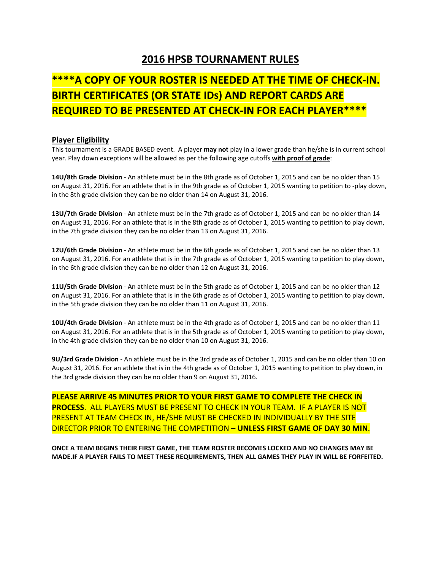## **2016 HPSB TOURNAMENT RULES**

## **\*\*\*\*A COPY OF YOUR ROSTER IS NEEDED AT THE TIME OF CHECK‐IN. BIRTH CERTIFICATES (OR STATE IDs) AND REPORT CARDS ARE REQUIRED TO BE PRESENTED AT CHECK‐IN FOR EACH PLAYER\*\*\*\***

## **Player Eligibility**

This tournament is a GRADE BASED event. A player **may not** play in a lower grade than he/she is in current school year. Play down exceptions will be allowed as per the following age cutoffs **with proof of grade**:

**14U/8th Grade Division** ‐ An athlete must be in the 8th grade as of October 1, 2015 and can be no older than 15 on August 31, 2016. For an athlete that is in the 9th grade as of October 1, 2015 wanting to petition to ‐play down, in the 8th grade division they can be no older than 14 on August 31, 2016.

**13U/7th Grade Division** ‐ An athlete must be in the 7th grade as of October 1, 2015 and can be no older than 14 on August 31, 2016. For an athlete that is in the 8th grade as of October 1, 2015 wanting to petition to play down, in the 7th grade division they can be no older than 13 on August 31, 2016.

**12U/6th Grade Division** ‐ An athlete must be in the 6th grade as of October 1, 2015 and can be no older than 13 on August 31, 2016. For an athlete that is in the 7th grade as of October 1, 2015 wanting to petition to play down, in the 6th grade division they can be no older than 12 on August 31, 2016.

**11U/5th Grade Division** ‐ An athlete must be in the 5th grade as of October 1, 2015 and can be no older than 12 on August 31, 2016. For an athlete that is in the 6th grade as of October 1, 2015 wanting to petition to play down, in the 5th grade division they can be no older than 11 on August 31, 2016.

**10U/4th Grade Division** ‐ An athlete must be in the 4th grade as of October 1, 2015 and can be no older than 11 on August 31, 2016. For an athlete that is in the 5th grade as of October 1, 2015 wanting to petition to play down, in the 4th grade division they can be no older than 10 on August 31, 2016.

**9U/3rd Grade Division** ‐ An athlete must be in the 3rd grade as of October 1, 2015 and can be no older than 10 on August 31, 2016. For an athlete that is in the 4th grade as of October 1, 2015 wanting to petition to play down, in the 3rd grade division they can be no older than 9 on August 31, 2016.

**PLEASE ARRIVE 45 MINUTES PRIOR TO YOUR FIRST GAME TO COMPLETE THE CHECK IN PROCESS**. ALL PLAYERS MUST BE PRESENT TO CHECK IN YOUR TEAM. IF A PLAYER IS NOT PRESENT AT TEAM CHECK IN, HE/SHE MUST BE CHECKED IN INDIVIDUALLY BY THE SITE DIRECTOR PRIOR TO ENTERING THE COMPETITION – **UNLESS FIRST GAME OF DAY 30 MIN**.

**ONCE A TEAM BEGINS THEIR FIRST GAME, THE TEAM ROSTER BECOMES LOCKED AND NO CHANGES MAY BE MADE**.**IF A PLAYER FAILS TO MEET THESE REQUIREMENTS, THEN ALL GAMES THEY PLAY IN WILL BE FORFEITED.**